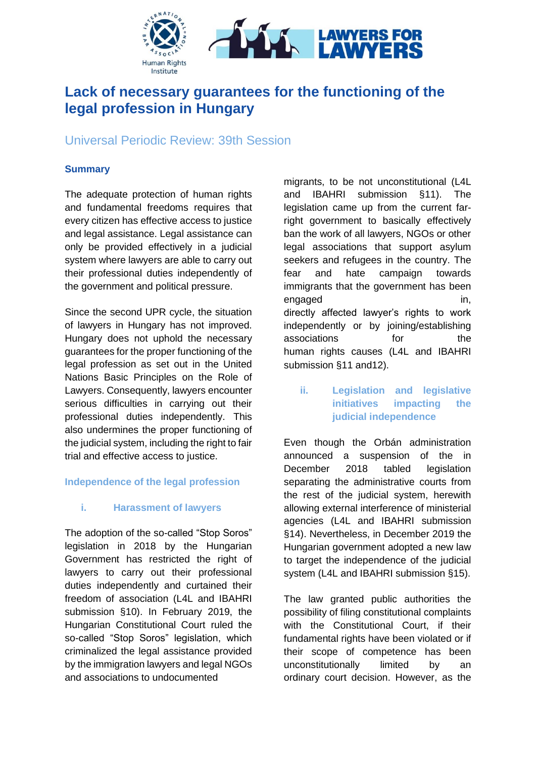

# **Lack of necessary guarantees for the functioning of the legal profession in Hungary**

## Universal Periodic Review: 39th Session

#### **Summary**

The adequate protection of human rights and fundamental freedoms requires that every citizen has effective access to justice and legal assistance. Legal assistance can only be provided effectively in a judicial system where lawyers are able to carry out their professional duties independently of the government and political pressure.

Since the second UPR cycle, the situation of lawyers in Hungary has not improved. Hungary does not uphold the necessary guarantees for the proper functioning of the legal profession as set out in the United Nations Basic Principles on the Role of Lawyers. Consequently, lawyers encounter serious difficulties in carrying out their professional duties independently. This also undermines the proper functioning of the judicial system, including the right to fair trial and effective access to justice.

#### **Independence of the legal profession**

#### **i. Harassment of lawyers**

The adoption of the so-called "Stop Soros" legislation in 2018 by the Hungarian Government has restricted the right of lawyers to carry out their professional duties independently and curtained their freedom of association (L4L and IBAHRI submission §10). In February 2019, the Hungarian Constitutional Court ruled the so-called "Stop Soros" legislation, which criminalized the legal assistance provided by the immigration lawyers and legal NGOs and associations to undocumented

migrants, to be not unconstitutional (L4L and IBAHRI submission §11). The legislation came up from the current farright government to basically effectively ban the work of all lawyers, NGOs or other legal associations that support asylum seekers and refugees in the country. The fear and hate campaign towards immigrants that the government has been engaged in, directly affected lawyer's rights to work independently or by joining/establishing associations for the human rights causes (L4L and IBAHRI submission §11 and12).

### **ii. Legislation and legislative initiatives impacting the judicial independence**

Even though the Orbán administration announced a suspension of the in December 2018 tabled legislation separating the administrative courts from the rest of the judicial system, herewith allowing external interference of ministerial agencies (L4L and IBAHRI submission §14). Nevertheless, in December 2019 the Hungarian government adopted a new law to target the independence of the judicial system (L4L and IBAHRI submission §15).

The law granted public authorities the possibility of filing constitutional complaints with the Constitutional Court, if their fundamental rights have been violated or if their scope of competence has been unconstitutionally limited by an ordinary court decision. However, as the